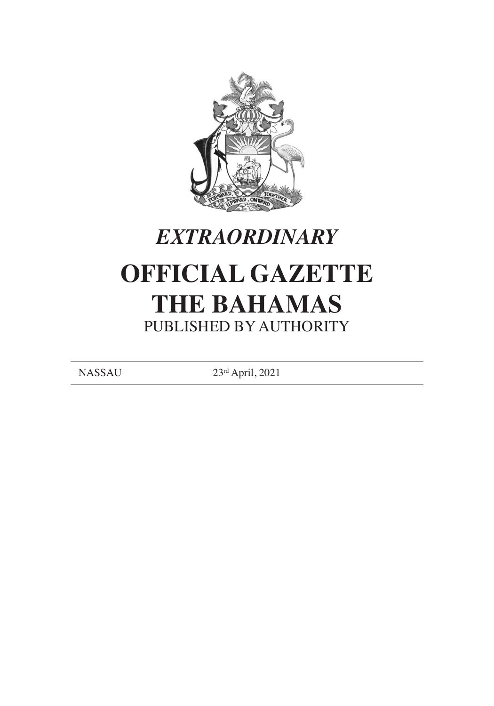



# **OFFICIAL GAZETTE THE BAHAMAS** PUBLISHED BY AUTHORITY

NASSAU 23rd April, 2021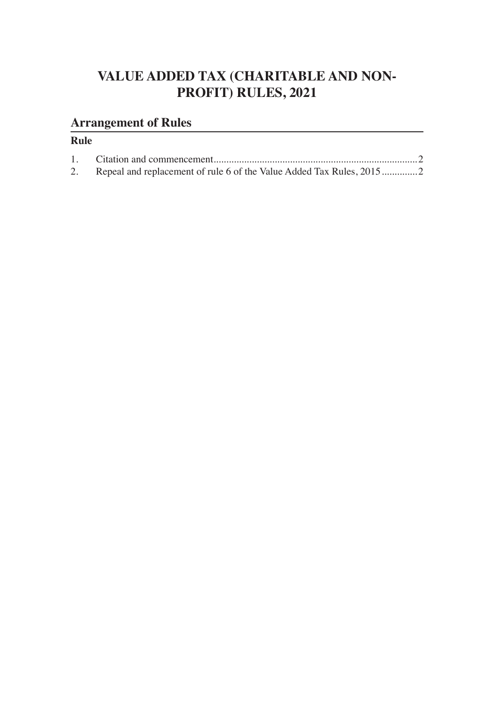## **VALUE ADDED TAX (CHARITABLE AND NON-PROFIT) RULES, 2021**

## **Arrangement of Rules**

## **Rule**

2. Repeal and replacement of rule 6 of the Value Added Tax Rules, 2015..............2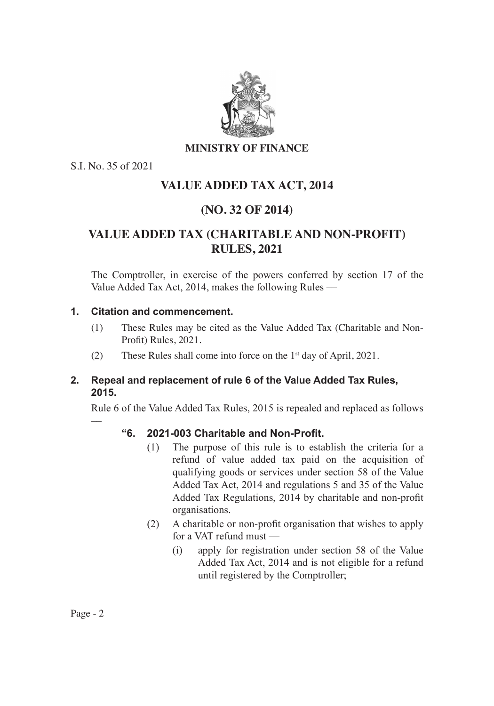

#### **MINISTRY OF FINANCE**

S.I. No. 35 of 2021

## **VALUE ADDED TAX ACT, 2014**

## **(NO. 32 OF 2014)**

## **VALUE ADDED TAX (CHARITABLE AND NON-PROFIT) RULES, 2021**

The Comptroller, in exercise of the powers conferred by section 17 of the Value Added Tax Act, 2014, makes the following Rules ––

#### **1. Citation and commencement.**

- (1) These Rules may be cited as the Value Added Tax (Charitable and Non- Profit) Rules, 2021.
- (2) These Rules shall come into force on the 1st day of April, 2021.

#### **2. Repeal and replacement of rule 6 of the Value Added Tax Rules, 2015.**

Rule 6 of the Value Added Tax Rules, 2015 is repealed and replaced as follows

#### **"6. 2021-003 Charitable and Non-Profit.**

- (1) The purpose of this rule is to establish the criteria for a refund of value added tax paid on the acquisition of qualifying goods or services under section 58 of the Value Added Tax Act, 2014 and regulations 5 and 35 of the Value Added Tax Regulations, 2014 by charitable and non-profit organisations.
- (2) A charitable or non-profit organisation that wishes to apply for a VAT refund must ––
	- (i) apply for registration under section 58 of the Value Added Tax Act, 2014 and is not eligible for a refund until registered by the Comptroller;

––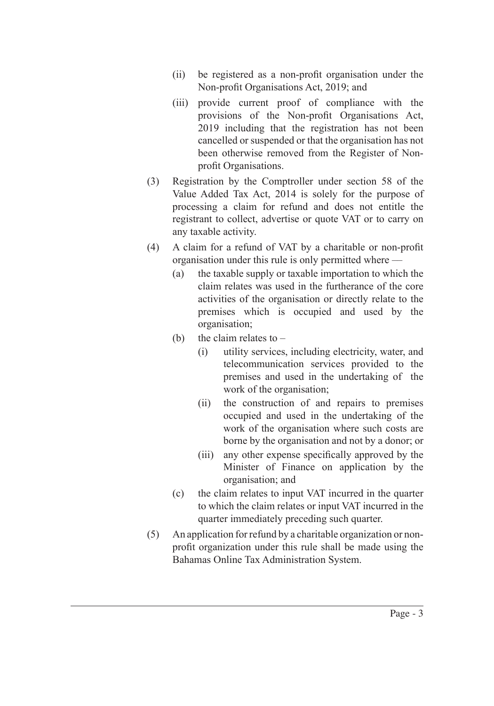- (ii) be registered as a non-profit organisation under the Non-profit Organisations Act, 2019; and
- (iii) provide current proof of compliance with the provisions of the Non-profit Organisations Act, 2019 including that the registration has not been cancelled or suspended or that the organisation has not been otherwise removed from the Register of Non- profit Organisations.
- (3) Registration by the Comptroller under section 58 of the Value Added Tax Act, 2014 is solely for the purpose of processing a claim for refund and does not entitle the registrant to collect, advertise or quote VAT or to carry on any taxable activity.
- (4) A claim for a refund of VAT by a charitable or non-profit organisation under this rule is only permitted where ––
	- (a) the taxable supply or taxable importation to which the claim relates was used in the furtherance of the core activities of the organisation or directly relate to the premises which is occupied and used by the organisation;
	- (b) the claim relates to  $-$ 
		- (i) utility services, including electricity, water, and telecommunication services provided to the premises and used in the undertaking of the work of the organisation;
		- (ii) the construction of and repairs to premises occupied and used in the undertaking of the work of the organisation where such costs are borne by the organisation and not by a donor; or
		- (iii) any other expense specifically approved by the Minister of Finance on application by the organisation; and
	- (c) the claim relates to input VAT incurred in the quarter to which the claim relates or input VAT incurred in the quarter immediately preceding such quarter.
- (5) An application for refund by a charitable organization or non- profit organization under this rule shall be made using the Bahamas Online Tax Administration System.